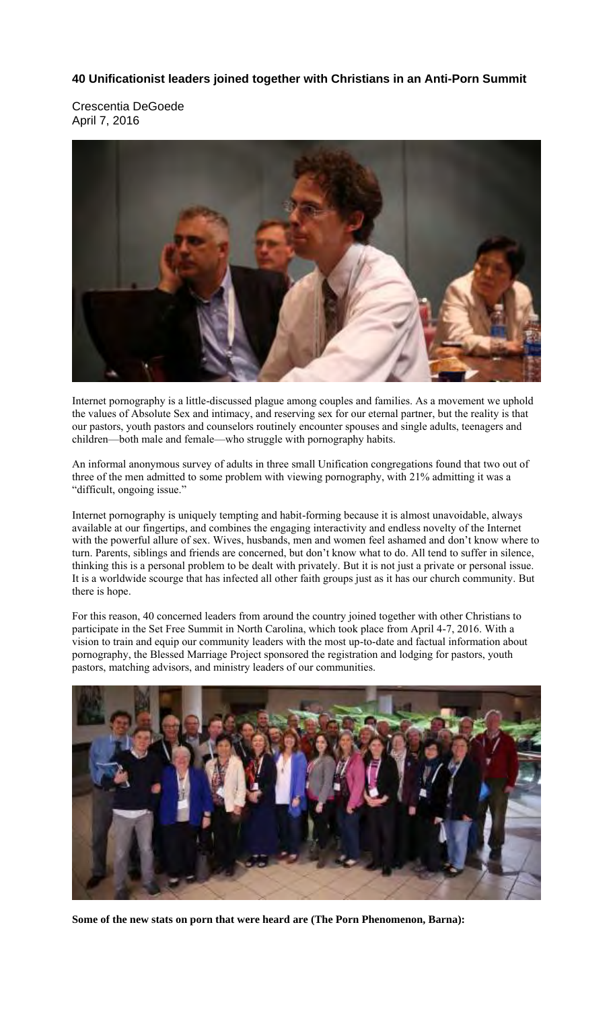## **40 Unificationist leaders joined together with Christians in an Anti-Porn Summit**

Crescentia DeGoede April 7, 2016



Internet pornography is a little-discussed plague among couples and families. As a movement we uphold the values of Absolute Sex and intimacy, and reserving sex for our eternal partner, but the reality is that our pastors, youth pastors and counselors routinely encounter spouses and single adults, teenagers and children—both male and female—who struggle with pornography habits.

An informal anonymous survey of adults in three small Unification congregations found that two out of three of the men admitted to some problem with viewing pornography, with 21% admitting it was a "difficult, ongoing issue."

Internet pornography is uniquely tempting and habit-forming because it is almost unavoidable, always available at our fingertips, and combines the engaging interactivity and endless novelty of the Internet with the powerful allure of sex. Wives, husbands, men and women feel ashamed and don't know where to turn. Parents, siblings and friends are concerned, but don't know what to do. All tend to suffer in silence, thinking this is a personal problem to be dealt with privately. But it is not just a private or personal issue. It is a worldwide scourge that has infected all other faith groups just as it has our church community. But there is hope.

For this reason, 40 concerned leaders from around the country joined together with other Christians to participate in the Set Free Summit in North Carolina, which took place from April 4-7, 2016. With a vision to train and equip our community leaders with the most up-to-date and factual information about pornography, the Blessed Marriage Project sponsored the registration and lodging for pastors, youth pastors, matching advisors, and ministry leaders of our communities.



**Some of the new stats on porn that were heard are (The Porn Phenomenon, Barna):**